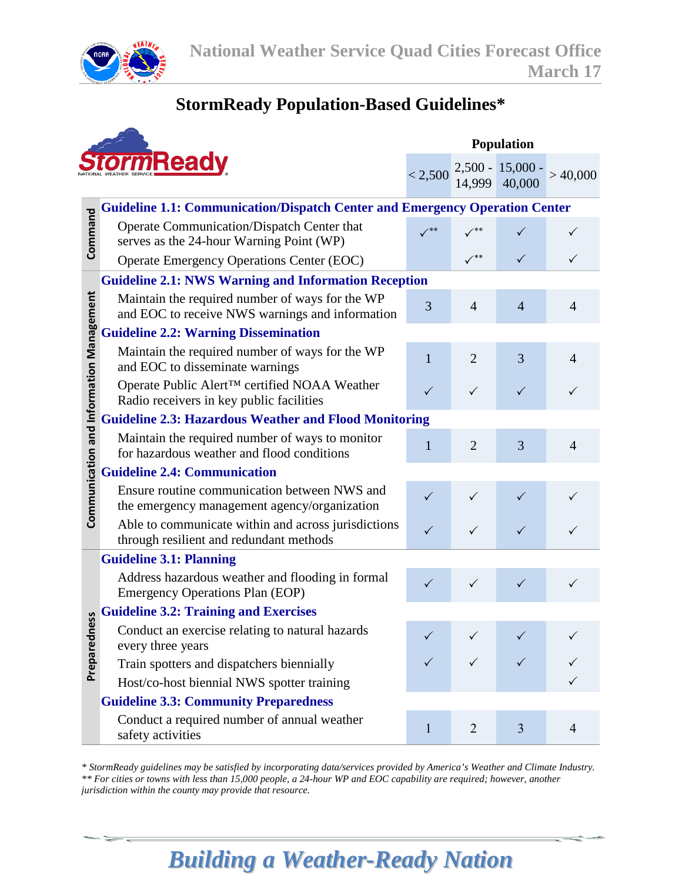

### **StormReady Population-Based Guidelines\***

|                                          |                                                                                                    |              | Population     |                                |                |  |
|------------------------------------------|----------------------------------------------------------------------------------------------------|--------------|----------------|--------------------------------|----------------|--|
| <b>TrmReady</b>                          |                                                                                                    | < 2,500      | 14,999         | 2,500 - 15,000 - 14,999 40,000 | >40,000        |  |
|                                          | <b>Guideline 1.1: Communication/Dispatch Center and Emergency Operation Center</b>                 |              |                |                                |                |  |
| Command                                  | Operate Communication/Dispatch Center that<br>serves as the 24-hour Warning Point (WP)             | **           |                |                                |                |  |
|                                          | <b>Operate Emergency Operations Center (EOC)</b>                                                   |              | $($ **         | ✓                              |                |  |
|                                          | <b>Guideline 2.1: NWS Warning and Information Reception</b>                                        |              |                |                                |                |  |
| Communication and Information Management | Maintain the required number of ways for the WP<br>and EOC to receive NWS warnings and information | 3            | $\overline{4}$ | $\overline{4}$                 | $\overline{4}$ |  |
|                                          | <b>Guideline 2.2: Warning Dissemination</b>                                                        |              |                |                                |                |  |
|                                          | Maintain the required number of ways for the WP<br>and EOC to disseminate warnings                 | $\mathbf{1}$ | $\overline{2}$ | 3                              | 4              |  |
|                                          | Operate Public Alert™ certified NOAA Weather<br>Radio receivers in key public facilities           | ✓            | $\checkmark$   | $\checkmark$                   | ✓              |  |
|                                          | <b>Guideline 2.3: Hazardous Weather and Flood Monitoring</b>                                       |              |                |                                |                |  |
|                                          | Maintain the required number of ways to monitor<br>for hazardous weather and flood conditions      | 1            | $\overline{2}$ | 3                              | $\overline{4}$ |  |
|                                          | <b>Guideline 2.4: Communication</b>                                                                |              |                |                                |                |  |
|                                          | Ensure routine communication between NWS and<br>the emergency management agency/organization       | $\checkmark$ | ✓              |                                |                |  |
|                                          | Able to communicate within and across jurisdictions<br>through resilient and redundant methods     | $\checkmark$ | $\checkmark$   | $\checkmark$                   | ✓              |  |
| ness<br>Prepared                         | <b>Guideline 3.1: Planning</b>                                                                     |              |                |                                |                |  |
|                                          | Address hazardous weather and flooding in formal<br><b>Emergency Operations Plan (EOP)</b>         | $\checkmark$ | $\checkmark$   | $\checkmark$                   | $\checkmark$   |  |
|                                          | <b>Guideline 3.2: Training and Exercises</b>                                                       |              |                |                                |                |  |
|                                          | Conduct an exercise relating to natural hazards<br>every three years                               |              |                |                                |                |  |
|                                          | Train spotters and dispatchers biennially                                                          |              |                |                                |                |  |
|                                          | Host/co-host biennial NWS spotter training                                                         |              |                |                                |                |  |
|                                          | <b>Guideline 3.3: Community Preparedness</b>                                                       |              |                |                                |                |  |
|                                          | Conduct a required number of annual weather<br>safety activities                                   | 1            | $\overline{2}$ | $\overline{3}$                 | $\overline{4}$ |  |

*\* StormReady guidelines may be satisfied by incorporating data/services provided by America's Weather and Climate Industry. \*\* For cities or towns with less than 15,000 people, a 24-hour WP and EOC capability are required; however, another jurisdiction within the county may provide that resource.*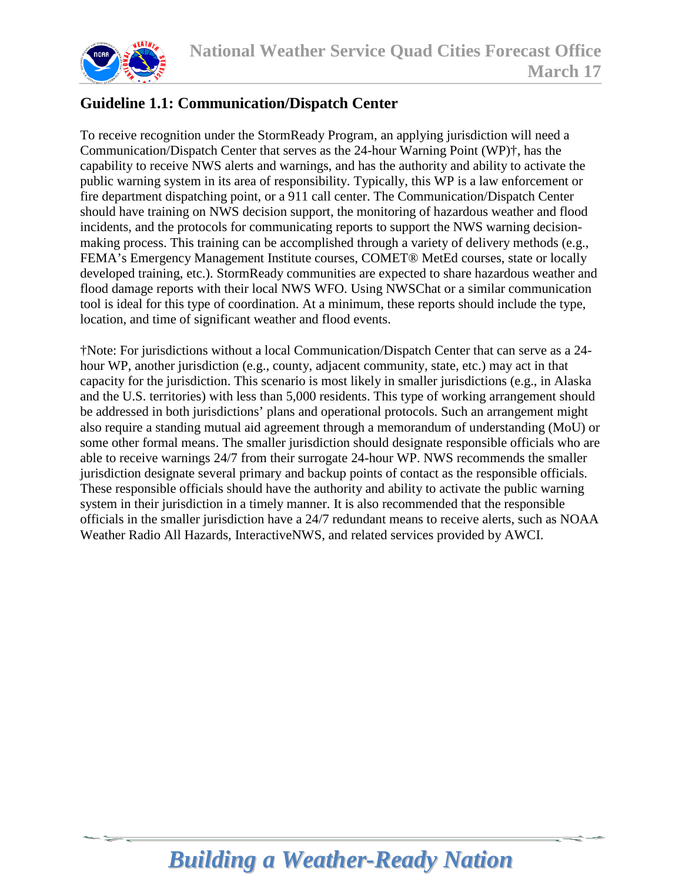

### **Guideline 1.1: Communication/Dispatch Center**

To receive recognition under the StormReady Program, an applying jurisdiction will need a Communication/Dispatch Center that serves as the 24-hour Warning Point (WP)†, has the capability to receive NWS alerts and warnings, and has the authority and ability to activate the public warning system in its area of responsibility. Typically, this WP is a law enforcement or fire department dispatching point, or a 911 call center. The Communication/Dispatch Center should have training on NWS decision support, the monitoring of hazardous weather and flood incidents, and the protocols for communicating reports to support the NWS warning decisionmaking process. This training can be accomplished through a variety of delivery methods (e.g., FEMA's Emergency Management Institute courses, COMET® MetEd courses, state or locally developed training, etc.). StormReady communities are expected to share hazardous weather and flood damage reports with their local NWS WFO. Using NWSChat or a similar communication tool is ideal for this type of coordination. At a minimum, these reports should include the type, location, and time of significant weather and flood events.

†Note: For jurisdictions without a local Communication/Dispatch Center that can serve as a 24 hour WP, another jurisdiction (e.g., county, adjacent community, state, etc.) may act in that capacity for the jurisdiction. This scenario is most likely in smaller jurisdictions (e.g., in Alaska and the U.S. territories) with less than 5,000 residents. This type of working arrangement should be addressed in both jurisdictions' plans and operational protocols. Such an arrangement might also require a standing mutual aid agreement through a memorandum of understanding (MoU) or some other formal means. The smaller jurisdiction should designate responsible officials who are able to receive warnings 24/7 from their surrogate 24-hour WP. NWS recommends the smaller jurisdiction designate several primary and backup points of contact as the responsible officials. These responsible officials should have the authority and ability to activate the public warning system in their jurisdiction in a timely manner. It is also recommended that the responsible officials in the smaller jurisdiction have a 24/7 redundant means to receive alerts, such as NOAA Weather Radio All Hazards, InteractiveNWS, and related services provided by AWCI.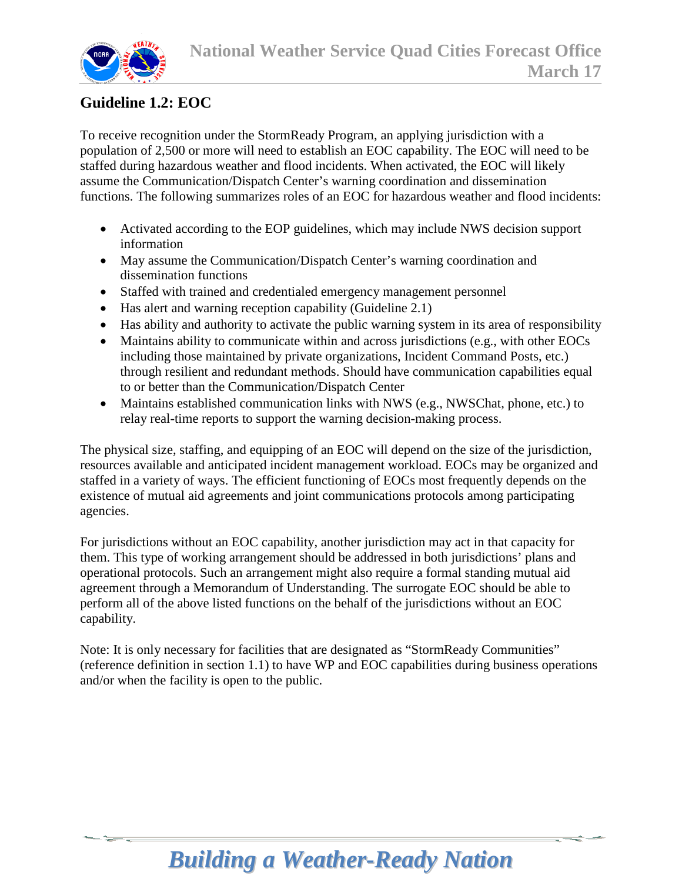

#### **Guideline 1.2: EOC**

To receive recognition under the StormReady Program, an applying jurisdiction with a population of 2,500 or more will need to establish an EOC capability. The EOC will need to be staffed during hazardous weather and flood incidents. When activated, the EOC will likely assume the Communication/Dispatch Center's warning coordination and dissemination functions. The following summarizes roles of an EOC for hazardous weather and flood incidents:

- Activated according to the EOP guidelines, which may include NWS decision support information
- May assume the Communication/Dispatch Center's warning coordination and dissemination functions
- Staffed with trained and credentialed emergency management personnel
- Has alert and warning reception capability (Guideline 2.1)
- Has ability and authority to activate the public warning system in its area of responsibility
- Maintains ability to communicate within and across jurisdictions (e.g., with other EOCs including those maintained by private organizations, Incident Command Posts, etc.) through resilient and redundant methods. Should have communication capabilities equal to or better than the Communication/Dispatch Center
- Maintains established communication links with NWS (e.g., NWSChat, phone, etc.) to relay real-time reports to support the warning decision-making process.

The physical size, staffing, and equipping of an EOC will depend on the size of the jurisdiction, resources available and anticipated incident management workload. EOCs may be organized and staffed in a variety of ways. The efficient functioning of EOCs most frequently depends on the existence of mutual aid agreements and joint communications protocols among participating agencies.

For jurisdictions without an EOC capability, another jurisdiction may act in that capacity for them. This type of working arrangement should be addressed in both jurisdictions' plans and operational protocols. Such an arrangement might also require a formal standing mutual aid agreement through a Memorandum of Understanding. The surrogate EOC should be able to perform all of the above listed functions on the behalf of the jurisdictions without an EOC capability.

Note: It is only necessary for facilities that are designated as "StormReady Communities" (reference definition in section 1.1) to have WP and EOC capabilities during business operations and/or when the facility is open to the public.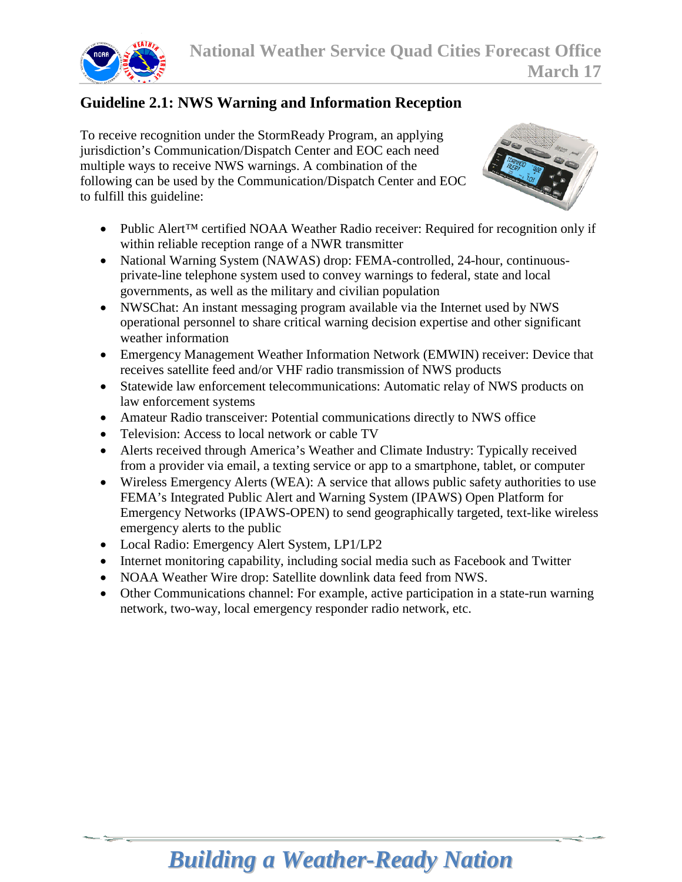

### **Guideline 2.1: NWS Warning and Information Reception**

To receive recognition under the StormReady Program, an applying jurisdiction's Communication/Dispatch Center and EOC each need multiple ways to receive NWS warnings. A combination of the following can be used by the Communication/Dispatch Center and EOC to fulfill this guideline:



- Public Alert™ certified NOAA Weather Radio receiver: Required for recognition only if within reliable reception range of a NWR transmitter
- National Warning System (NAWAS) drop: FEMA-controlled, 24-hour, continuousprivate-line telephone system used to convey warnings to federal, state and local governments, as well as the military and civilian population
- NWSChat: An instant messaging program available via the Internet used by NWS operational personnel to share critical warning decision expertise and other significant weather information
- Emergency Management Weather Information Network (EMWIN) receiver: Device that receives satellite feed and/or VHF radio transmission of NWS products
- Statewide law enforcement telecommunications: Automatic relay of NWS products on law enforcement systems
- Amateur Radio transceiver: Potential communications directly to NWS office
- Television: Access to local network or cable TV
- Alerts received through America's Weather and Climate Industry: Typically received from a provider via email, a texting service or app to a smartphone, tablet, or computer
- Wireless Emergency Alerts (WEA): A service that allows public safety authorities to use FEMA's Integrated Public Alert and Warning System (IPAWS) Open Platform for Emergency Networks (IPAWS-OPEN) to send geographically targeted, text-like wireless emergency alerts to the public
- Local Radio: Emergency Alert System, LP1/LP2
- Internet monitoring capability, including social media such as Facebook and Twitter
- NOAA Weather Wire drop: Satellite downlink data feed from NWS.
- Other Communications channel: For example, active participation in a state-run warning network, two-way, local emergency responder radio network, etc.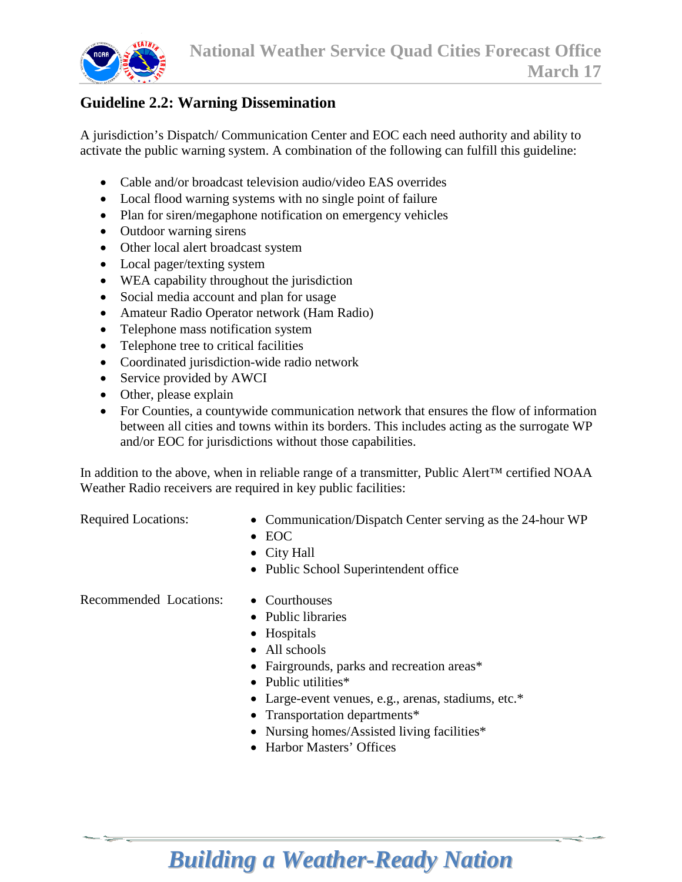

#### **Guideline 2.2: Warning Dissemination**

A jurisdiction's Dispatch/ Communication Center and EOC each need authority and ability to activate the public warning system. A combination of the following can fulfill this guideline:

- Cable and/or broadcast television audio/video EAS overrides
- Local flood warning systems with no single point of failure
- Plan for siren/megaphone notification on emergency vehicles
- Outdoor warning sirens
- Other local alert broadcast system
- Local pager/texting system
- WEA capability throughout the jurisdiction
- Social media account and plan for usage
- Amateur Radio Operator network (Ham Radio)
- Telephone mass notification system
- Telephone tree to critical facilities
- Coordinated jurisdiction-wide radio network
- Service provided by AWCI
- Other, please explain
- For Counties, a countywide communication network that ensures the flow of information between all cities and towns within its borders. This includes acting as the surrogate WP and/or EOC for jurisdictions without those capabilities.

In addition to the above, when in reliable range of a transmitter, Public Alert™ certified NOAA Weather Radio receivers are required in key public facilities:

- Required Locations: Communication/Dispatch Center serving as the 24-hour WP
	- EOC
	- City Hall
	- Public School Superintendent office

Recommended Locations: • Courthouses

- 
- Public libraries
- Hospitals
- All schools
- Fairgrounds, parks and recreation areas\*
- Public utilities\*
- Large-event venues, e.g., arenas, stadiums, etc.\*
- Transportation departments\*
- Nursing homes/Assisted living facilities\*
- Harbor Masters' Offices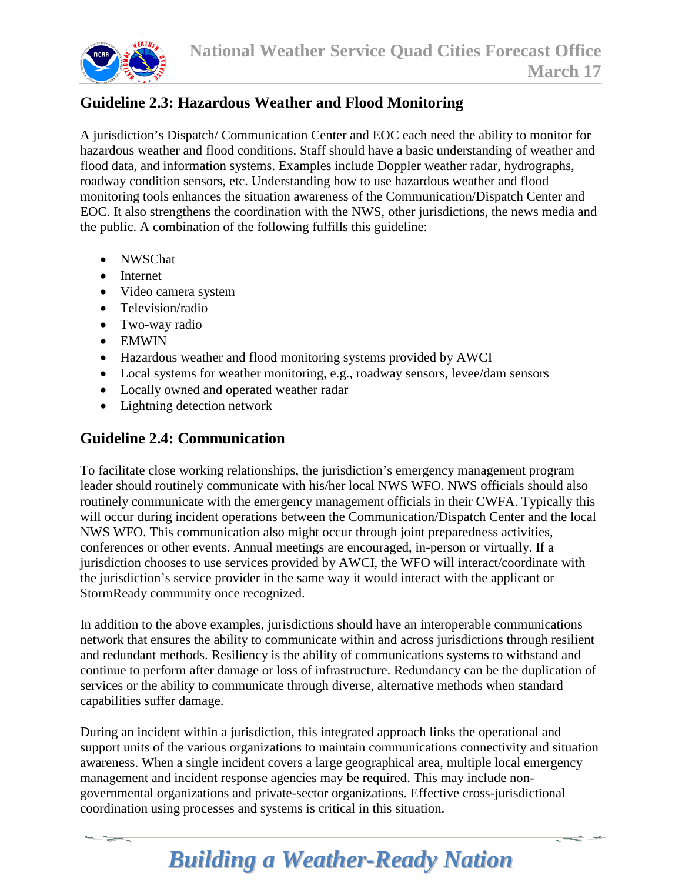

### **Guideline 2.3: Hazardous Weather and Flood Monitoring**

A jurisdiction's Dispatch/ Communication Center and EOC each need the ability to monitor for hazardous weather and flood conditions. Staff should have a basic understanding of weather and flood data, and information systems. Examples include Doppler weather radar, hydrographs, roadway condition sensors, etc. Understanding how to use hazardous weather and flood monitoring tools enhances the situation awareness of the Communication/Dispatch Center and EOC. It also strengthens the coordination with the NWS, other jurisdictions, the news media and the public. A combination of the following fulfills this guideline:

- NWSChat
- Internet
- Video camera system
- Television/radio
- Two-way radio
- EMWIN
- Hazardous weather and flood monitoring systems provided by AWCI
- Local systems for weather monitoring, e.g., roadway sensors, levee/dam sensors
- Locally owned and operated weather radar
- Lightning detection network

#### **Guideline 2.4: Communication**

To facilitate close working relationships, the jurisdiction's emergency management program leader should routinely communicate with his/her local NWS WFO. NWS officials should also routinely communicate with the emergency management officials in their CWFA. Typically this will occur during incident operations between the Communication/Dispatch Center and the local NWS WFO. This communication also might occur through joint preparedness activities, conferences or other events. Annual meetings are encouraged, in-person or virtually. If a jurisdiction chooses to use services provided by AWCI, the WFO will interact/coordinate with the jurisdiction's service provider in the same way it would interact with the applicant or StormReady community once recognized.

In addition to the above examples, jurisdictions should have an interoperable communications network that ensures the ability to communicate within and across jurisdictions through resilient and redundant methods. Resiliency is the ability of communications systems to withstand and continue to perform after damage or loss of infrastructure. Redundancy can be the duplication of services or the ability to communicate through diverse, alternative methods when standard capabilities suffer damage.

During an incident within a jurisdiction, this integrated approach links the operational and support units of the various organizations to maintain communications connectivity and situation awareness. When a single incident covers a large geographical area, multiple local emergency management and incident response agencies may be required. This may include nongovernmental organizations and private-sector organizations. Effective cross-jurisdictional coordination using processes and systems is critical in this situation.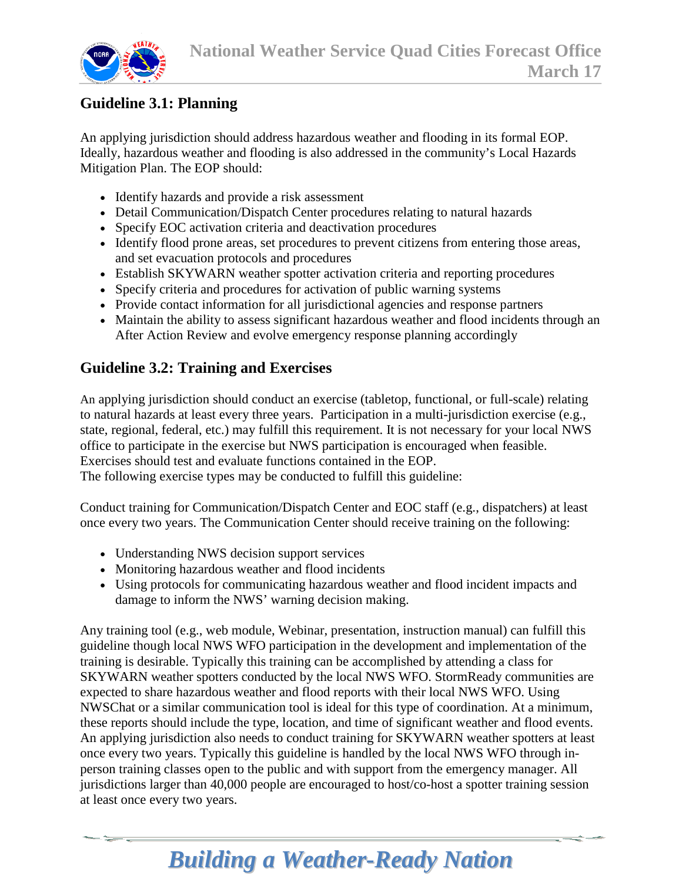

#### **Guideline 3.1: Planning**

An applying jurisdiction should address hazardous weather and flooding in its formal EOP. Ideally, hazardous weather and flooding is also addressed in the community's Local Hazards Mitigation Plan. The EOP should:

- Identify hazards and provide a risk assessment
- Detail Communication/Dispatch Center procedures relating to natural hazards
- Specify EOC activation criteria and deactivation procedures
- Identify flood prone areas, set procedures to prevent citizens from entering those areas, and set evacuation protocols and procedures
- Establish SKYWARN weather spotter activation criteria and reporting procedures
- Specify criteria and procedures for activation of public warning systems
- Provide contact information for all jurisdictional agencies and response partners
- Maintain the ability to assess significant hazardous weather and flood incidents through an After Action Review and evolve emergency response planning accordingly

#### **Guideline 3.2: Training and Exercises**

An applying jurisdiction should conduct an exercise (tabletop, functional, or full-scale) relating to natural hazards at least every three years. Participation in a multi-jurisdiction exercise (e.g., state, regional, federal, etc.) may fulfill this requirement. It is not necessary for your local NWS office to participate in the exercise but NWS participation is encouraged when feasible. Exercises should test and evaluate functions contained in the EOP. The following exercise types may be conducted to fulfill this guideline:

Conduct training for Communication/Dispatch Center and EOC staff (e.g., dispatchers) at least once every two years. The Communication Center should receive training on the following:

- Understanding NWS decision support services
- Monitoring hazardous weather and flood incidents
- Using protocols for communicating hazardous weather and flood incident impacts and damage to inform the NWS' warning decision making.

Any training tool (e.g., web module, Webinar, presentation, instruction manual) can fulfill this guideline though local NWS WFO participation in the development and implementation of the training is desirable. Typically this training can be accomplished by attending a class for SKYWARN weather spotters conducted by the local NWS WFO. StormReady communities are expected to share hazardous weather and flood reports with their local NWS WFO. Using NWSChat or a similar communication tool is ideal for this type of coordination. At a minimum, these reports should include the type, location, and time of significant weather and flood events. An applying jurisdiction also needs to conduct training for SKYWARN weather spotters at least once every two years. Typically this guideline is handled by the local NWS WFO through inperson training classes open to the public and with support from the emergency manager. All jurisdictions larger than 40,000 people are encouraged to host/co-host a spotter training session at least once every two years.